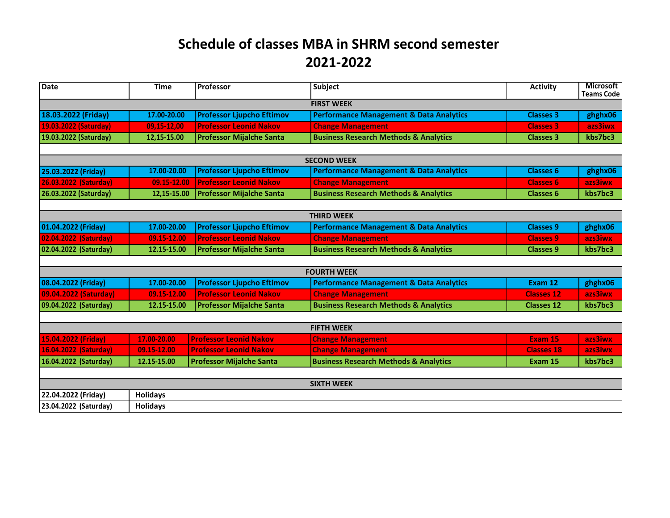## **Schedule of classes MBA in SHRM second semester 2021-2022**

| <b>Date</b>           | <b>Time</b>     | Professor                        | Subject                                            | <b>Activity</b>   | <b>Microsoft</b><br><b>Teams Code</b> |  |  |  |  |  |
|-----------------------|-----------------|----------------------------------|----------------------------------------------------|-------------------|---------------------------------------|--|--|--|--|--|
| <b>FIRST WEEK</b>     |                 |                                  |                                                    |                   |                                       |  |  |  |  |  |
| 18.03.2022 (Friday)   | 17.00-20.00     | <b>Professor Ljupcho Eftimov</b> | <b>Performance Management &amp; Data Analytics</b> | <b>Classes 3</b>  | ghghx06                               |  |  |  |  |  |
| 19.03.2022 (Saturday) | 09,15-12,00     | <b>Professor Leonid Nakov</b>    | <b>Change Management</b>                           | <b>Classes 3</b>  | azs3iwx                               |  |  |  |  |  |
| 19.03.2022 (Saturday) | 12,15-15.00     | <b>Professor Mijalche Santa</b>  | <b>Business Research Methods &amp; Analytics</b>   | <b>Classes 3</b>  | kbs7bc3                               |  |  |  |  |  |
|                       |                 |                                  |                                                    |                   |                                       |  |  |  |  |  |
| <b>SECOND WEEK</b>    |                 |                                  |                                                    |                   |                                       |  |  |  |  |  |
| 25.03.2022 (Friday)   | 17.00-20.00     | <b>Professor Ljupcho Eftimov</b> | <b>Performance Management &amp; Data Analytics</b> | <b>Classes 6</b>  | ghghx06                               |  |  |  |  |  |
| 26.03.2022 (Saturday) | 09.15-12.00     | <b>Professor Leonid Nakov</b>    | <b>Change Management</b>                           | <b>Classes 6</b>  | azs3iwx                               |  |  |  |  |  |
| 26.03.2022 (Saturday) | 12,15-15.00     | <b>Professor Mijalche Santa</b>  | <b>Business Research Methods &amp; Analytics</b>   | <b>Classes 6</b>  | kbs7bc3                               |  |  |  |  |  |
|                       |                 |                                  |                                                    |                   |                                       |  |  |  |  |  |
| <b>THIRD WEEK</b>     |                 |                                  |                                                    |                   |                                       |  |  |  |  |  |
| 01.04.2022 (Friday)   | 17.00-20.00     | <b>Professor Ljupcho Eftimov</b> | <b>Performance Management &amp; Data Analytics</b> | <b>Classes 9</b>  | ghghx06                               |  |  |  |  |  |
| 02.04.2022 (Saturday) | 09.15-12.00     | <b>Professor Leonid Nakov</b>    | <b>Change Management</b>                           | <b>Classes 9</b>  | azs3iwx                               |  |  |  |  |  |
| 02.04.2022 (Saturday) | 12.15-15.00     | <b>Professor Mijalche Santa</b>  | <b>Business Research Methods &amp; Analytics</b>   | <b>Classes 9</b>  | kbs7bc3                               |  |  |  |  |  |
|                       |                 |                                  |                                                    |                   |                                       |  |  |  |  |  |
| <b>FOURTH WEEK</b>    |                 |                                  |                                                    |                   |                                       |  |  |  |  |  |
| 08.04.2022 (Friday)   | 17.00-20.00     | <b>Professor Ljupcho Eftimov</b> | <b>Performance Management &amp; Data Analytics</b> | Exam 12           | ghghx06                               |  |  |  |  |  |
| 09.04.2022 (Saturday) | 09.15-12.00     | <b>Professor Leonid Nakov</b>    | <b>Change Management</b>                           | <b>Classes 12</b> | azs3iwx                               |  |  |  |  |  |
| 09.04.2022 (Saturday) | 12.15-15.00     | <b>Professor Mijalche Santa</b>  | <b>Business Research Methods &amp; Analytics</b>   | <b>Classes 12</b> | kbs7bc3                               |  |  |  |  |  |
|                       |                 |                                  |                                                    |                   |                                       |  |  |  |  |  |
| <b>FIFTH WEEK</b>     |                 |                                  |                                                    |                   |                                       |  |  |  |  |  |
| 15.04.2022 (Friday)   | 17.00-20.00     | <b>Professor Leonid Nakov</b>    | <b>Change Management</b>                           | Exam 15           | azs3iwx                               |  |  |  |  |  |
| 16.04.2022 (Saturday) | 09.15-12.00     | <b>Professor Leonid Nakov</b>    | <b>Change Management</b>                           | <b>Classes 18</b> | azs3iwx                               |  |  |  |  |  |
| 16.04.2022 (Saturday) | 12.15-15.00     | <b>Professor Mijalche Santa</b>  | <b>Business Research Methods &amp; Analytics</b>   | Exam 15           | kbs7bc3                               |  |  |  |  |  |
|                       |                 |                                  |                                                    |                   |                                       |  |  |  |  |  |
| <b>SIXTH WEEK</b>     |                 |                                  |                                                    |                   |                                       |  |  |  |  |  |
| 22.04.2022 (Friday)   | <b>Holidays</b> |                                  |                                                    |                   |                                       |  |  |  |  |  |
| 23.04.2022 (Saturday) | <b>Holidays</b> |                                  |                                                    |                   |                                       |  |  |  |  |  |